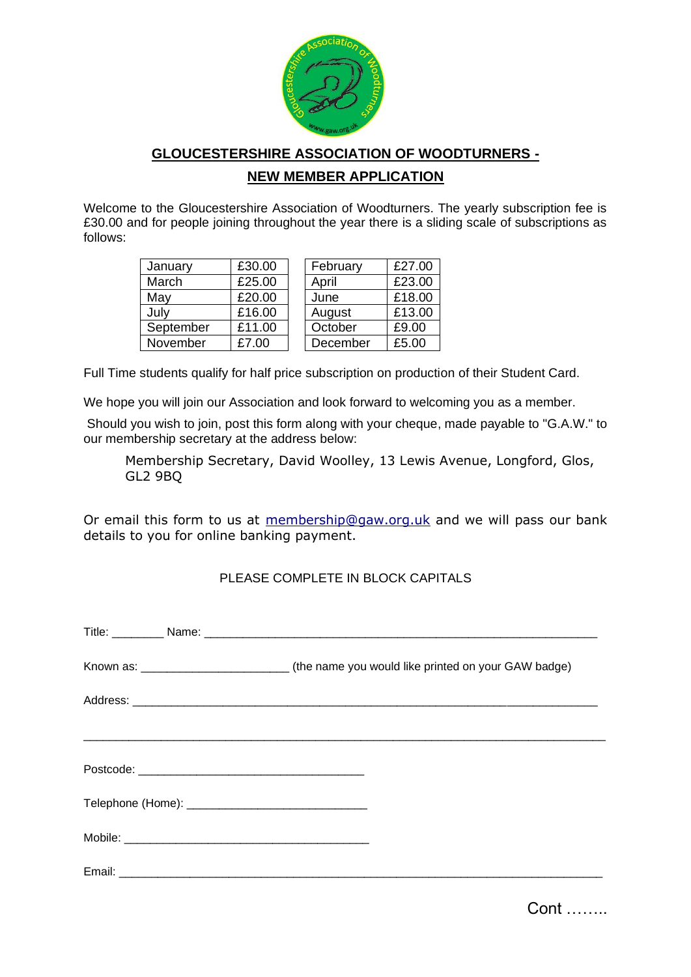

## **GLOUCESTERSHIRE ASSOCIATION OF WOODTURNERS -**

## **NEW MEMBER APPLICATION**

Welcome to the Gloucestershire Association of Woodturners. The yearly subscription fee is £30.00 and for people joining throughout the year there is a sliding scale of subscriptions as follows:

| January   | £30.00 | February |          | £27.00 |
|-----------|--------|----------|----------|--------|
| March     | £25.00 | April    |          | £23.00 |
| May       | £20.00 | June     |          | £18.00 |
| July      | £16.00 | August   |          | £13.00 |
| September | £11.00 | October  |          | £9.00  |
| November  | £7.00  |          | December | £5.00  |

Full Time students qualify for half price subscription on production of their Student Card.

We hope you will join our Association and look forward to welcoming you as a member.

Should you wish to join, post this form along with your cheque, made payable to "G.A.W." to our membership secretary at the address below:

Membership Secretary, David Woolley, 13 Lewis Avenue, Longford, Glos, GL2 9BQ

Or email this form to us at [membership@gaw.org.uk](mailto:membership@gaw.org.uk) and we will pass our bank details to you for online banking payment.

## PLEASE COMPLETE IN BLOCK CAPITALS